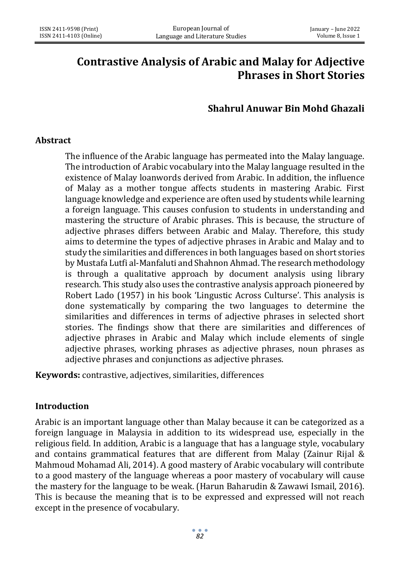# **Contrastive Analysis of Arabic and Malay for Adjective Phrases in Short Stories**

# **Shahrul Anuwar Bin Mohd Ghazali**

#### **Abstract**

The influence of the Arabic language has permeated into the Malay language. The introduction of Arabic vocabulary into the Malay language resulted in the existence of Malay loanwords derived from Arabic. In addition, the influence of Malay as a mother tongue affects students in mastering Arabic. First language knowledge and experience are often used by students while learning a foreign language. This causes confusion to students in understanding and mastering the structure of Arabic phrases. This is because, the structure of adjective phrases differs between Arabic and Malay. Therefore, this study aims to determine the types of adjective phrases in Arabic and Malay and to study the similarities and differences in both languages based on short stories by Mustafa Lutfi al-Manfaluti and Shahnon Ahmad. The research methodology is through a qualitative approach by document analysis using library research. This study also uses the contrastive analysis approach pioneered by Robert Lado (1957) in his book 'Lingustic Across Culturse'. This analysis is done systematically by comparing the two languages to determine the similarities and differences in terms of adjective phrases in selected short stories. The findings show that there are similarities and differences of adjective phrases in Arabic and Malay which include elements of single adjective phrases, working phrases as adjective phrases, noun phrases as adjective phrases and conjunctions as adjective phrases.

**Keywords:** contrastive, adjectives, similarities, differences

#### **Introduction**

Arabic is an important language other than Malay because it can be categorized as a foreign language in Malaysia in addition to its widespread use, especially in the religious field. In addition, Arabic is a language that has a language style, vocabulary and contains grammatical features that are different from Malay (Zainur Rijal & Mahmoud Mohamad Ali, 2014). A good mastery of Arabic vocabulary will contribute to a good mastery of the language whereas a poor mastery of vocabulary will cause the mastery for the language to be weak. (Harun Baharudin & Zawawi Ismail, 2016). This is because the meaning that is to be expressed and expressed will not reach except in the presence of vocabulary.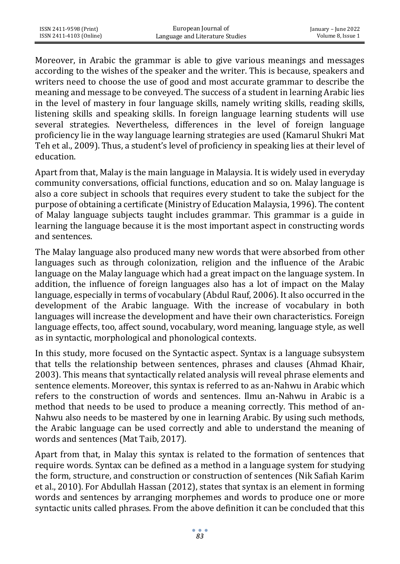Moreover, in Arabic the grammar is able to give various meanings and messages according to the wishes of the speaker and the writer. This is because, speakers and writers need to choose the use of good and most accurate grammar to describe the meaning and message to be conveyed. The success of a student in learning Arabic lies in the level of mastery in four language skills, namely writing skills, reading skills, listening skills and speaking skills. In foreign language learning students will use several strategies. Nevertheless, differences in the level of foreign language proficiency lie in the way language learning strategies are used (Kamarul Shukri Mat Teh et al., 2009). Thus, a student's level of proficiency in speaking lies at their level of education.

Apart from that, Malay is the main language in Malaysia. It is widely used in everyday community conversations, official functions, education and so on. Malay language is also a core subject in schools that requires every student to take the subject for the purpose of obtaining a certificate (Ministry of Education Malaysia, 1996). The content of Malay language subjects taught includes grammar. This grammar is a guide in learning the language because it is the most important aspect in constructing words and sentences.

The Malay language also produced many new words that were absorbed from other languages such as through colonization, religion and the influence of the Arabic language on the Malay language which had a great impact on the language system. In addition, the influence of foreign languages also has a lot of impact on the Malay language, especially in terms of vocabulary (Abdul Rauf, 2006). It also occurred in the development of the Arabic language. With the increase of vocabulary in both languages will increase the development and have their own characteristics. Foreign language effects, too, affect sound, vocabulary, word meaning, language style, as well as in syntactic, morphological and phonological contexts.

In this study, more focused on the Syntactic aspect. Syntax is a language subsystem that tells the relationship between sentences, phrases and clauses (Ahmad Khair, 2003). This means that syntactically related analysis will reveal phrase elements and sentence elements. Moreover, this syntax is referred to as an-Nahwu in Arabic which refers to the construction of words and sentences. Ilmu an-Nahwu in Arabic is a method that needs to be used to produce a meaning correctly. This method of an-Nahwu also needs to be mastered by one in learning Arabic. By using such methods, the Arabic language can be used correctly and able to understand the meaning of words and sentences (Mat Taib, 2017).

Apart from that, in Malay this syntax is related to the formation of sentences that require words. Syntax can be defined as a method in a language system for studying the form, structure, and construction or construction of sentences (Nik Safiah Karim et al., 2010). For Abdullah Hassan (2012), states that syntax is an element in forming words and sentences by arranging morphemes and words to produce one or more syntactic units called phrases. From the above definition it can be concluded that this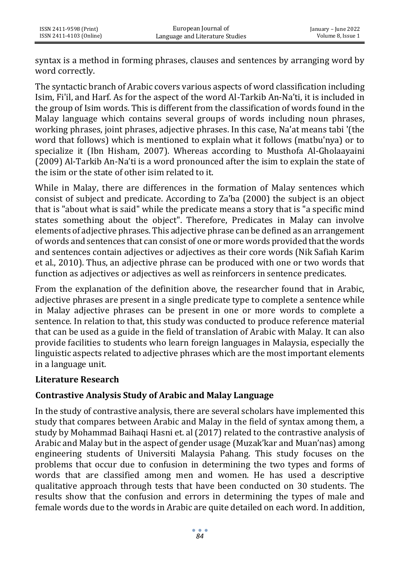syntax is a method in forming phrases, clauses and sentences by arranging word by word correctly.

The syntactic branch of Arabic covers various aspects of word classification including Isim, Fi'il, and Harf. As for the aspect of the word Al-Tarkib An-Na'ti, it is included in the group of Isim words. This is different from the classification of words found in the Malay language which contains several groups of words including noun phrases, working phrases, joint phrases, adjective phrases. In this case, Na'at means tabi '(the word that follows) which is mentioned to explain what it follows (matbu'nya) or to specialize it (Ibn Hisham, 2007). Whereas according to Musthofa Al-Gholaayaini (2009) Al-Tarkib An-Na'ti is a word pronounced after the isim to explain the state of the isim or the state of other isim related to it.

While in Malay, there are differences in the formation of Malay sentences which consist of subject and predicate. According to Za'ba (2000) the subject is an object that is "about what is said" while the predicate means a story that is "a specific mind states something about the object". Therefore, Predicates in Malay can involve elements of adjective phrases. This adjective phrase can be defined as an arrangement of words and sentences that can consist of one or more words provided that the words and sentences contain adjectives or adjectives as their core words (Nik Safiah Karim et al., 2010). Thus, an adjective phrase can be produced with one or two words that function as adjectives or adjectives as well as reinforcers in sentence predicates.

From the explanation of the definition above, the researcher found that in Arabic, adjective phrases are present in a single predicate type to complete a sentence while in Malay adjective phrases can be present in one or more words to complete a sentence. In relation to that, this study was conducted to produce reference material that can be used as a guide in the field of translation of Arabic with Malay. It can also provide facilities to students who learn foreign languages in Malaysia, especially the linguistic aspects related to adjective phrases which are the most important elements in a language unit.

# **Literature Research**

# **Contrastive Analysis Study of Arabic and Malay Language**

In the study of contrastive analysis, there are several scholars have implemented this study that compares between Arabic and Malay in the field of syntax among them, a study by Mohammad Baihaqi Hasni et. al (2017) related to the contrastive analysis of Arabic and Malay but in the aspect of gender usage (Muzak'kar and Muan'nas) among engineering students of Universiti Malaysia Pahang. This study focuses on the problems that occur due to confusion in determining the two types and forms of words that are classified among men and women. He has used a descriptive qualitative approach through tests that have been conducted on 30 students. The results show that the confusion and errors in determining the types of male and female words due to the words in Arabic are quite detailed on each word. In addition,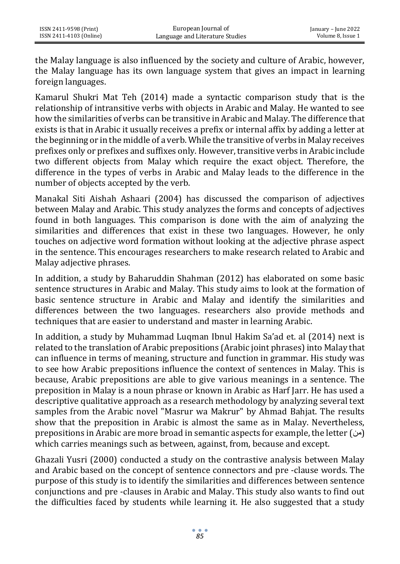the Malay language is also influenced by the society and culture of Arabic, however, the Malay language has its own language system that gives an impact in learning foreign languages.

Kamarul Shukri Mat Teh (2014) made a syntactic comparison study that is the relationship of intransitive verbs with objects in Arabic and Malay. He wanted to see how the similarities of verbs can be transitive in Arabic and Malay. The difference that exists is that in Arabic it usually receives a prefix or internal affix by adding a letter at the beginning or in the middle of a verb. While the transitive of verbs in Malay receives prefixes only or prefixes and suffixes only. However, transitive verbs in Arabic include two different objects from Malay which require the exact object. Therefore, the difference in the types of verbs in Arabic and Malay leads to the difference in the number of objects accepted by the verb.

Manakal Siti Aishah Ashaari (2004) has discussed the comparison of adjectives between Malay and Arabic. This study analyzes the forms and concepts of adjectives found in both languages. This comparison is done with the aim of analyzing the similarities and differences that exist in these two languages. However, he only touches on adjective word formation without looking at the adjective phrase aspect in the sentence. This encourages researchers to make research related to Arabic and Malay adjective phrases.

In addition, a study by Baharuddin Shahman (2012) has elaborated on some basic sentence structures in Arabic and Malay. This study aims to look at the formation of basic sentence structure in Arabic and Malay and identify the similarities and differences between the two languages. researchers also provide methods and techniques that are easier to understand and master in learning Arabic.

In addition, a study by Muhammad Luqman Ibnul Hakim Sa'ad et. al (2014) next is related to the translation of Arabic prepositions (Arabic joint phrases) into Malay that can influence in terms of meaning, structure and function in grammar. His study was to see how Arabic prepositions influence the context of sentences in Malay. This is because, Arabic prepositions are able to give various meanings in a sentence. The preposition in Malay is a noun phrase or known in Arabic as Harf Jarr. He has used a descriptive qualitative approach as a research methodology by analyzing several text samples from the Arabic novel "Masrur wa Makrur" by Ahmad Bahjat. The results show that the preposition in Arabic is almost the same as in Malay. Nevertheless, prepositions in Arabic are more broad in semantic aspects for example, the letter (من ( which carries meanings such as between, against, from, because and except.

Ghazali Yusri (2000) conducted a study on the contrastive analysis between Malay and Arabic based on the concept of sentence connectors and pre -clause words. The purpose of this study is to identify the similarities and differences between sentence conjunctions and pre -clauses in Arabic and Malay. This study also wants to find out the difficulties faced by students while learning it. He also suggested that a study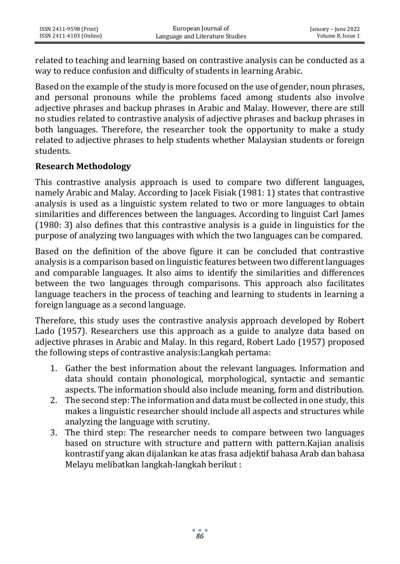related to teaching and learning based on contrastive analysis can be conducted as a way to reduce confusion and difficulty of students in learning Arabic.

Based on the example of the study is more focused on the use of gender, noun phrases, and personal pronouns while the problems faced among students also involve adjective phrases and backup phrases in Arabic and Malay. However, there are still no studies related to contrastive analysis of adjective phrases and backup phrases in both languages. Therefore, the researcher took the opportunity to make a study related to adjective phrases to help students whether Malaysian students or foreign students.

#### **Research Methodology**

This contrastive analysis approach is used to compare two different languages, namely Arabic and Malay. According to Jacek Fisiak (1981: 1) states that contrastive analysis is used as a linguistic system related to two or more languages to obtain similarities and differences between the languages. According to linguist Carl James (1980: 3) also defines that this contrastive analysis is a guide in linguistics for the purpose of analyzing two languages with which the two languages can be compared.

Based on the definition of the above figure it can be concluded that contrastive analysis is a comparison based on linguistic features between two different languages and comparable languages. It also aims to identify the similarities and differences between the two languages through comparisons. This approach also facilitates language teachers in the process of teaching and learning to students in learning a foreign language as a second language.

Therefore, this study uses the contrastive analysis approach developed by Robert Lado (1957). Researchers use this approach as a guide to analyze data based on adjective phrases in Arabic and Malay. In this regard, Robert Lado (1957) proposed the following steps of contrastive analysis:Langkah pertama:

- 1. Gather the best information about the relevant languages. Information and data should contain phonological, morphological, syntactic and semantic aspects. The information should also include meaning, form and distribution.
- 2. The second step: The information and data must be collected in one study, this makes a linguistic researcher should include all aspects and structures while analyzing the language with scrutiny.
- 3. The third step: The researcher needs to compare between two languages based on structure with structure and pattern with pattern.Kajian analisis kontrastif yang akan dijalankan ke atas frasa adjektif bahasa Arab dan bahasa Melayu melibatkan langkah-langkah berikut :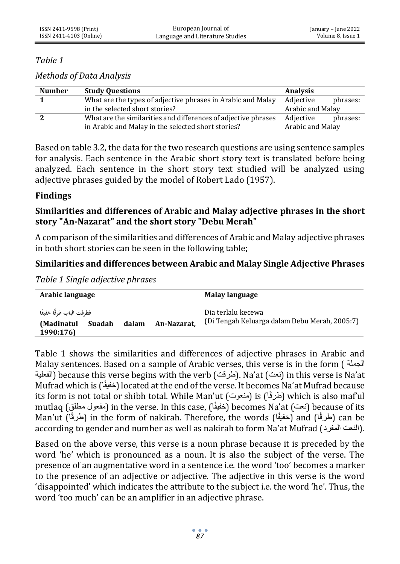## *Table 1*

*Methods of Data Analysis*

| <b>Number</b> | <b>Study Questions</b>                                         | <b>Analysis</b>  |          |
|---------------|----------------------------------------------------------------|------------------|----------|
|               | What are the types of adjective phrases in Arabic and Malay    | Adjective        | phrases: |
|               | in the selected short stories?                                 | Arabic and Malay |          |
|               | What are the similarities and differences of adjective phrases | Adjective        | phrases: |
|               | in Arabic and Malay in the selected short stories?             | Arabic and Malay |          |

Based on table 3.2, the data for the two research questions are using sentence samples for analysis. Each sentence in the Arabic short story text is translated before being analyzed. Each sentence in the short story text studied will be analyzed using adjective phrases guided by the model of Robert Lado (1957).

## **Findings**

# **Similarities and differences of Arabic and Malay adjective phrases in the short story "An-Nazarat" and the short story "Debu Merah"**

A comparison of the similarities and differences of Arabic and Malay adjective phrases in both short stories can be seen in the following table;

# **Similarities and differences between Arabic and Malay Single Adjective Phrases**

*Table 1 Single adjective phrases*

| Arabic language                                               |       |             | Malay language                                                      |
|---------------------------------------------------------------|-------|-------------|---------------------------------------------------------------------|
| فطرقت الباب طرقًا خفيفًا<br>(Madinatul<br>Suadah<br>1990:176) | dalam | An-Nazarat. | Dia terlalu kecewa<br>(Di Tengah Keluarga dalam Debu Merah, 2005:7) |

Table 1 shows the similarities and differences of adjective phrases in Arabic and Malay sentences. Based on a sample of Arabic verses, this verse is in the form ( الجملة الفعلية (because this verse begins with the verb (طرقت). Na'at (نعت) in this verse is Na'at (الفعلية Mufrad which is (اًخفيف (located at the end of the verse. It becomes Na'at Mufrad because its form is not total or shibh total. While Man'ut (طرقًا) is (طرقًا) which is also maf'ul mutlaq (مفعول مطلق) in the verse. In this case, (خفيفًا) becomes Na'at (مفعول مطلق) (because of its Man'ut (طُرقًا) din the form of nakirah. Therefore, the words (خفيفًا) and (طُرقًا) can be according to gender and number as well as nakirah to form Na'at Mufrad (النعت المفرد ).

Based on the above verse, this verse is a noun phrase because it is preceded by the word 'he' which is pronounced as a noun. It is also the subject of the verse. The presence of an augmentative word in a sentence i.e. the word 'too' becomes a marker to the presence of an adjective or adjective. The adjective in this verse is the word 'disappointed' which indicates the attribute to the subject i.e. the word 'he'. Thus, the word 'too much' can be an amplifier in an adjective phrase.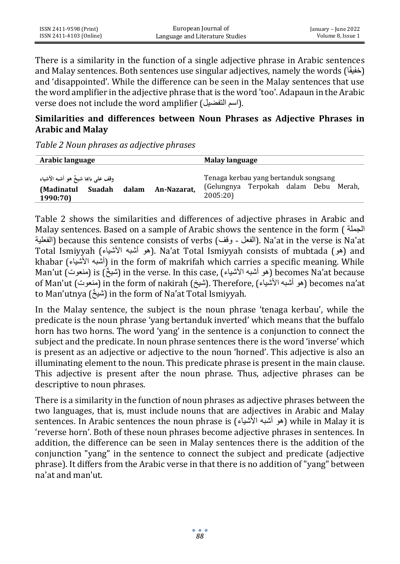There is a similarity in the function of a single adjective phrase in Arabic sentences and Malay sentences. Both sentences use singular adjectives, namely the words (خفيفًا) and 'disappointed'. While the difference can be seen in the Malay sentences that use the word amplifier in the adjective phrase that is the word 'too'. Adapaun in the Arabic verse does not include the word amplifier (اسم التفضيل).

## **Similarities and differences between Noun Phrases as Adjective Phrases in Arabic and Malay**

*Table 2 Noun phrases as adjective phrases*

| Arabic language                                                                 |             | Malay language                                                                                |
|---------------------------------------------------------------------------------|-------------|-----------------------------------------------------------------------------------------------|
| وقف على بابَا شيخٌ هو أشبه الأشياء<br>dalam<br>Suadah<br>(Madinatul<br>1990:70) | An-Nazarat. | Tenaga kerbau yang bertanduk songsang<br>Terpokah dalam Debu Merah,<br>(Gelungnya<br>2005:20) |

Table 2 shows the similarities and differences of adjective phrases in Arabic and Malay sentences. Based on a sample of Arabic shows the sentence in the form ( الجملة الفعلية (because this sentence consists of verbs (الفعل - وقف). Na'at in the verse is Na'at Total Ismiyyah (المو أشبه الأشياء الأشباء المع ). Na'at Total Ismiyyah consists of mubtada (هو khabar (األشياء أشبه (in the form of makrifah which carries a specific meaning. While Man'ut (شيخٌ ) is (خنوت) in the verse. In this case, (هو أشبه الأشياء ) becomes Na'at because of Man'ut (منعوت) in the form of nakirah (مُشبه الأشباء). Therefore, (الشبه الأشبه الأشبه أشبه الشبه الشبه ال to Man'utnya (شيخٌ) in the form of Na'at Total Ismiyyah.

In the Malay sentence, the subject is the noun phrase 'tenaga kerbau', while the predicate is the noun phrase 'yang bertanduk inverted' which means that the buffalo horn has two horns. The word 'yang' in the sentence is a conjunction to connect the subject and the predicate. In noun phrase sentences there is the word 'inverse' which is present as an adjective or adjective to the noun 'horned'. This adjective is also an illuminating element to the noun. This predicate phrase is present in the main clause. This adjective is present after the noun phrase. Thus, adjective phrases can be descriptive to noun phrases.

There is a similarity in the function of noun phrases as adjective phrases between the two languages, that is, must include nouns that are adjectives in Arabic and Malay sentences. In Arabic sentences the noun phrase is (هو أشبه الأشياء) while in Malav it is 'reverse horn'. Both of these noun phrases become adjective phrases in sentences. In addition, the difference can be seen in Malay sentences there is the addition of the conjunction "yang" in the sentence to connect the subject and predicate (adjective phrase). It differs from the Arabic verse in that there is no addition of "yang" between na'at and man'ut.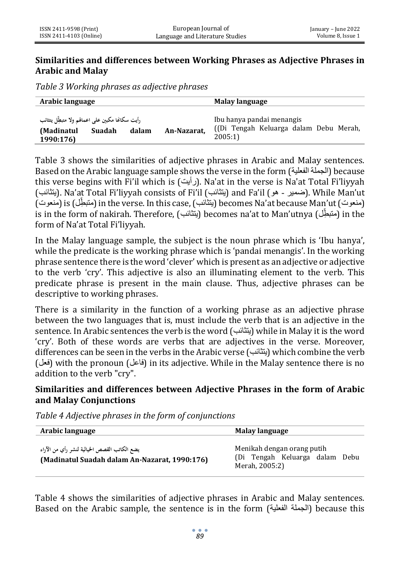#### **Similarities and differences between Working Phrases as Adjective Phrases in Arabic and Malay**

*Table 3 Working phrases as adjective phrases*

| Arabic language                                                                                 |             | Malay language                                                               |  |
|-------------------------------------------------------------------------------------------------|-------------|------------------------------------------------------------------------------|--|
| رأيت سكانها مكبين علمي اعمالهم ولا متبطِّل يتثائب<br>(Madinatul<br>Suadah<br>dalam<br>1990:176) | An-Nazarat, | Ibu hanya pandai menangis<br>(Di Tengah Keluarga dalam Debu Merah,<br>2005:1 |  |

Table 3 shows the similarities of adjective phrases in Arabic and Malay sentences. Based on the Arabic language sample shows the verse in the form (الفعلية الجملة (because this verse begins with Fi'il which is (رأيت). Na'at in the verse is Na'at Total Fi'liyyah (يتثائب), Na'at Total Fi'liyyah consists of Fi'il (يتثائب ) and Fa'il (همير - هو - شمير). While Man'ut (منعوت) (is (منعوت ) in the verse. In this case, (يتثائب ) becomes Na'at because Man'ut (منعوت ) is in the form of nakirah. Therefore, (يتثائب) becomes na'at to Man'utnya (متبطل) in the form of Na'at Total Fi'liyyah.

In the Malay language sample, the subject is the noun phrase which is 'Ibu hanya', while the predicate is the working phrase which is 'pandai menangis'. In the working phrase sentence there is the word 'clever' which is present as an adjective or adjective to the verb 'cry'. This adjective is also an illuminating element to the verb. This predicate phrase is present in the main clause. Thus, adjective phrases can be descriptive to working phrases.

There is a similarity in the function of a working phrase as an adjective phrase between the two languages that is, must include the verb that is an adjective in the sentence. In Arabic sentences the verb is the word (يتثائب (while in Malay it is the word 'cry'. Both of these words are verbs that are adjectives in the verse. Moreover, differences can be seen in the verbs in the Arabic verse (يتثائب (which combine the verb (فعل (with the pronoun (فاعل (in its adjective. While in the Malay sentence there is no addition to the verb "cry".

## **Similarities and differences between Adjective Phrases in the form of Arabic and Malay Conjunctions**

*Table 4 Adjective phrases in the form of conjunctions*

| Arabic language                                                                               | <b>Malay language</b>                                                          |
|-----------------------------------------------------------------------------------------------|--------------------------------------------------------------------------------|
| يضع الكاتب القصص الخيالية لنشر رأي من الآراء<br>(Madinatul Suadah dalam An-Nazarat, 1990:176) | Menikah dengan orang putih<br>(Di Tengah Keluarga dalam Debu<br>Merah, 2005:2) |

Table 4 shows the similarities of adjective phrases in Arabic and Malay sentences. Based on the Arabic sample, the sentence is in the form (الفعلية الجملة (because this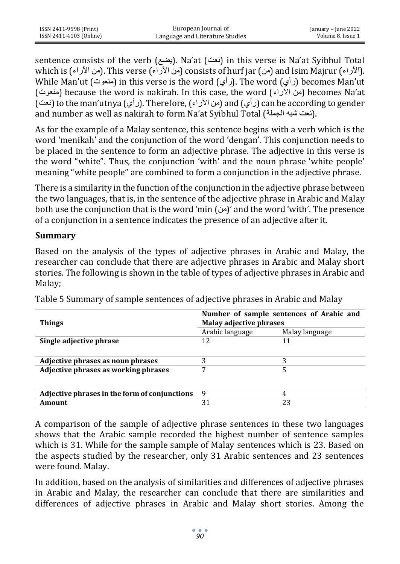sentence consists of the verb (نعت). Na'at (نعت) in this verse is Na'at Syibhul Total which is (من الآراء). This verse (من الآراء) consists of hurf jar (من الآراء) and Isim Majrur (الآراء While Man'ut (منعوت) in this verse is the word (رأي). The word (رأي) becomes Man'ut (منعوت (because the word is nakirah. In this case, the word (اآلراء من (becomes Na'at (نعت) to the man'utnya (رأي). Therefore, (من الآراء) and (نعت) can be according to gender and number as well as nakirah to form Na'at Syibhul Total (نعت شبه الجملة).

As for the example of a Malay sentence, this sentence begins with a verb which is the word 'menikah' and the conjunction of the word 'dengan'. This conjunction needs to be placed in the sentence to form an adjective phrase. The adjective in this verse is the word "white". Thus, the conjunction 'with' and the noun phrase 'white people' meaning "white people" are combined to form a conjunction in the adjective phrase.

There is a similarity in the function of the conjunction in the adjective phrase between the two languages, that is, in the sentence of the adjective phrase in Arabic and Malay both use the conjunction that is the word 'min  $(\omega)$ ' and the word 'with'. The presence of a conjunction in a sentence indicates the presence of an adjective after it.

#### **Summary**

Based on the analysis of the types of adjective phrases in Arabic and Malay, the researcher can conclude that there are adjective phrases in Arabic and Malay short stories. The following is shown in the table of types of adjective phrases in Arabic and Malay;

| <b>Things</b>                                 | Number of sample sentences of Arabic and<br>Malay adjective phrases |                |
|-----------------------------------------------|---------------------------------------------------------------------|----------------|
|                                               | Arabic language                                                     | Malay language |
| Single adjective phrase                       | 12                                                                  | 11             |
|                                               |                                                                     |                |
| Adjective phrases as noun phrases             |                                                                     | 3              |
| Adjective phrases as working phrases          | 7                                                                   | 5              |
|                                               |                                                                     |                |
| Adjective phrases in the form of conjunctions | 9                                                                   | 4              |
| Amount                                        | 31                                                                  | 23             |

Table 5 Summary of sample sentences of adjective phrases in Arabic and Malay

A comparison of the sample of adjective phrase sentences in these two languages shows that the Arabic sample recorded the highest number of sentence samples which is 31. While for the sample sample of Malay sentences which is 23. Based on the aspects studied by the researcher, only 31 Arabic sentences and 23 sentences were found. Malay.

In addition, based on the analysis of similarities and differences of adjective phrases in Arabic and Malay, the researcher can conclude that there are similarities and differences of adjective phrases in Arabic and Malay short stories. Among the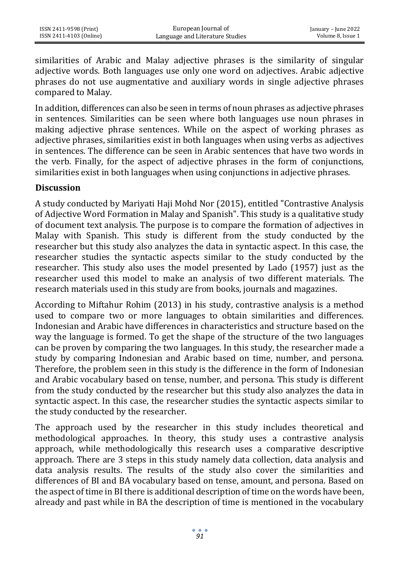similarities of Arabic and Malay adjective phrases is the similarity of singular adjective words. Both languages use only one word on adjectives. Arabic adjective phrases do not use augmentative and auxiliary words in single adjective phrases compared to Malay.

In addition, differences can also be seen in terms of noun phrases as adjective phrases in sentences. Similarities can be seen where both languages use noun phrases in making adjective phrase sentences. While on the aspect of working phrases as adjective phrases, similarities exist in both languages when using verbs as adjectives in sentences. The difference can be seen in Arabic sentences that have two words in the verb. Finally, for the aspect of adjective phrases in the form of conjunctions, similarities exist in both languages when using conjunctions in adjective phrases.

#### **Discussion**

A study conducted by Mariyati Haji Mohd Nor (2015), entitled "Contrastive Analysis of Adjective Word Formation in Malay and Spanish". This study is a qualitative study of document text analysis. The purpose is to compare the formation of adjectives in Malay with Spanish. This study is different from the study conducted by the researcher but this study also analyzes the data in syntactic aspect. In this case, the researcher studies the syntactic aspects similar to the study conducted by the researcher. This study also uses the model presented by Lado (1957) just as the researcher used this model to make an analysis of two different materials. The research materials used in this study are from books, journals and magazines.

According to Miftahur Rohim (2013) in his study, contrastive analysis is a method used to compare two or more languages to obtain similarities and differences. Indonesian and Arabic have differences in characteristics and structure based on the way the language is formed. To get the shape of the structure of the two languages can be proven by comparing the two languages. In this study, the researcher made a study by comparing Indonesian and Arabic based on time, number, and persona. Therefore, the problem seen in this study is the difference in the form of Indonesian and Arabic vocabulary based on tense, number, and persona. This study is different from the study conducted by the researcher but this study also analyzes the data in syntactic aspect. In this case, the researcher studies the syntactic aspects similar to the study conducted by the researcher.

The approach used by the researcher in this study includes theoretical and methodological approaches. In theory, this study uses a contrastive analysis approach, while methodologically this research uses a comparative descriptive approach. There are 3 steps in this study namely data collection, data analysis and data analysis results. The results of the study also cover the similarities and differences of BI and BA vocabulary based on tense, amount, and persona. Based on the aspect of time in BI there is additional description of time on the words have been, already and past while in BA the description of time is mentioned in the vocabulary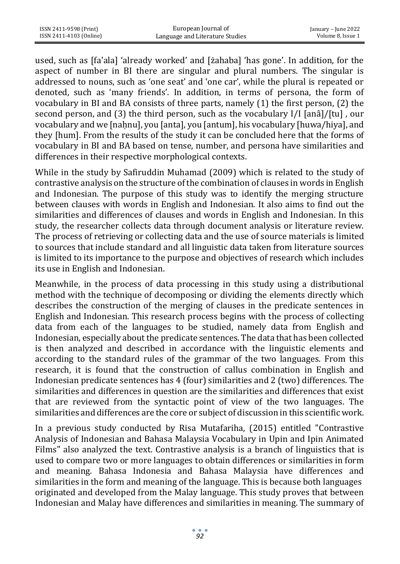| ISSN 2411-9598 (Print)  | European Journal of             | January – June 2022 |
|-------------------------|---------------------------------|---------------------|
| ISSN 2411-4103 (Online) | Language and Literature Studies | Volume 8. Issue 1   |

used, such as [fa'ala] 'already worked' and [żahaba] 'has gone'. In addition, for the aspect of number in BI there are singular and plural numbers. The singular is addressed to nouns, such as 'one seat' and 'one car', while the plural is repeated or denoted, such as 'many friends'. In addition, in terms of persona, the form of vocabulary in BI and BA consists of three parts, namely (1) the first person, (2) the second person, and (3) the third person, such as the vocabulary I/I [anâ]/[tu] , our vocabulary and we [nahnu], you [anta], you [antum], his vocabulary [huwa/hiya], and they [hum]. From the results of the study it can be concluded here that the forms of vocabulary in BI and BA based on tense, number, and persona have similarities and differences in their respective morphological contexts.

While in the study by Safiruddin Muhamad (2009) which is related to the study of contrastive analysis on the structure of the combination of clauses in words in English and Indonesian. The purpose of this study was to identify the merging structure between clauses with words in English and Indonesian. It also aims to find out the similarities and differences of clauses and words in English and Indonesian. In this study, the researcher collects data through document analysis or literature review. The process of retrieving or collecting data and the use of source materials is limited to sources that include standard and all linguistic data taken from literature sources is limited to its importance to the purpose and objectives of research which includes its use in English and Indonesian.

Meanwhile, in the process of data processing in this study using a distributional method with the technique of decomposing or dividing the elements directly which describes the construction of the merging of clauses in the predicate sentences in English and Indonesian. This research process begins with the process of collecting data from each of the languages to be studied, namely data from English and Indonesian, especially about the predicate sentences. The data that has been collected is then analyzed and described in accordance with the linguistic elements and according to the standard rules of the grammar of the two languages. From this research, it is found that the construction of callus combination in English and Indonesian predicate sentences has 4 (four) similarities and 2 (two) differences. The similarities and differences in question are the similarities and differences that exist that are reviewed from the syntactic point of view of the two languages. The similarities and differences are the core or subject of discussion in this scientific work.

In a previous study conducted by Risa Mutafariha, (2015) entitled "Contrastive Analysis of Indonesian and Bahasa Malaysia Vocabulary in Upin and Ipin Animated Films" also analyzed the text. Contrastive analysis is a branch of linguistics that is used to compare two or more languages to obtain differences or similarities in form and meaning. Bahasa Indonesia and Bahasa Malaysia have differences and similarities in the form and meaning of the language. This is because both languages originated and developed from the Malay language. This study proves that between Indonesian and Malay have differences and similarities in meaning. The summary of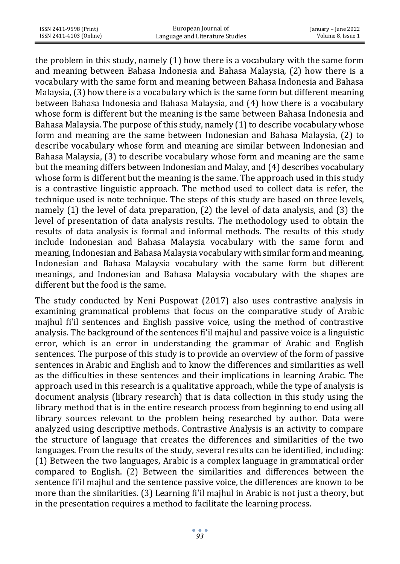the problem in this study, namely (1) how there is a vocabulary with the same form and meaning between Bahasa Indonesia and Bahasa Malaysia, (2) how there is a vocabulary with the same form and meaning between Bahasa Indonesia and Bahasa Malaysia, (3) how there is a vocabulary which is the same form but different meaning between Bahasa Indonesia and Bahasa Malaysia, and (4) how there is a vocabulary whose form is different but the meaning is the same between Bahasa Indonesia and Bahasa Malaysia. The purpose of this study, namely (1) to describe vocabulary whose form and meaning are the same between Indonesian and Bahasa Malaysia, (2) to describe vocabulary whose form and meaning are similar between Indonesian and Bahasa Malaysia, (3) to describe vocabulary whose form and meaning are the same but the meaning differs between Indonesian and Malay, and (4) describes vocabulary whose form is different but the meaning is the same. The approach used in this study is a contrastive linguistic approach. The method used to collect data is refer, the technique used is note technique. The steps of this study are based on three levels, namely (1) the level of data preparation, (2) the level of data analysis, and (3) the level of presentation of data analysis results. The methodology used to obtain the results of data analysis is formal and informal methods. The results of this study include Indonesian and Bahasa Malaysia vocabulary with the same form and meaning, Indonesian and Bahasa Malaysia vocabulary with similar form and meaning, Indonesian and Bahasa Malaysia vocabulary with the same form but different meanings, and Indonesian and Bahasa Malaysia vocabulary with the shapes are different but the food is the same.

The study conducted by Neni Puspowat (2017) also uses contrastive analysis in examining grammatical problems that focus on the comparative study of Arabic majhul fi'il sentences and English passive voice, using the method of contrastive analysis. The background of the sentences fi'il majhul and passive voice is a linguistic error, which is an error in understanding the grammar of Arabic and English sentences. The purpose of this study is to provide an overview of the form of passive sentences in Arabic and English and to know the differences and similarities as well as the difficulties in these sentences and their implications in learning Arabic. The approach used in this research is a qualitative approach, while the type of analysis is document analysis (library research) that is data collection in this study using the library method that is in the entire research process from beginning to end using all library sources relevant to the problem being researched by author. Data were analyzed using descriptive methods. Contrastive Analysis is an activity to compare the structure of language that creates the differences and similarities of the two languages. From the results of the study, several results can be identified, including: (1) Between the two languages, Arabic is a complex language in grammatical order compared to English. (2) Between the similarities and differences between the sentence fi'il majhul and the sentence passive voice, the differences are known to be more than the similarities. (3) Learning fi'il majhul in Arabic is not just a theory, but in the presentation requires a method to facilitate the learning process.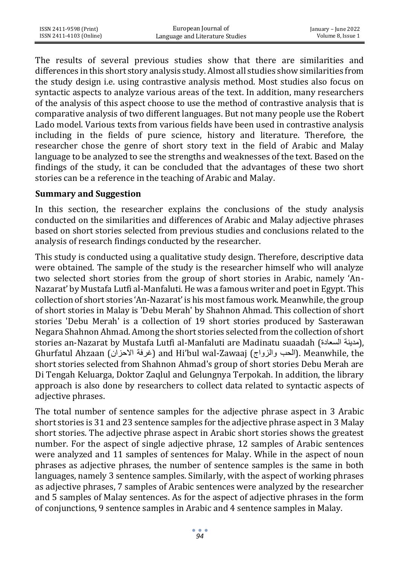| ISSN 2411-9598 (Print)  | European Journal of             | January – June 2022 |
|-------------------------|---------------------------------|---------------------|
| ISSN 2411-4103 (Online) | Language and Literature Studies | Volume 8. Issue 1   |

The results of several previous studies show that there are similarities and differences in this short story analysis study. Almost all studies show similarities from the study design i.e. using contrastive analysis method. Most studies also focus on syntactic aspects to analyze various areas of the text. In addition, many researchers of the analysis of this aspect choose to use the method of contrastive analysis that is comparative analysis of two different languages. But not many people use the Robert Lado model. Various texts from various fields have been used in contrastive analysis including in the fields of pure science, history and literature. Therefore, the researcher chose the genre of short story text in the field of Arabic and Malay language to be analyzed to see the strengths and weaknesses of the text. Based on the findings of the study, it can be concluded that the advantages of these two short stories can be a reference in the teaching of Arabic and Malay.

#### **Summary and Suggestion**

In this section, the researcher explains the conclusions of the study analysis conducted on the similarities and differences of Arabic and Malay adjective phrases based on short stories selected from previous studies and conclusions related to the analysis of research findings conducted by the researcher.

This study is conducted using a qualitative study design. Therefore, descriptive data were obtained. The sample of the study is the researcher himself who will analyze two selected short stories from the group of short stories in Arabic, namely 'An-Nazarat' by Mustafa Lutfi al-Manfaluti. He was a famous writer and poet in Egypt. This collection of short stories 'An-Nazarat' is his most famous work. Meanwhile, the group of short stories in Malay is 'Debu Merah' by Shahnon Ahmad. This collection of short stories 'Debu Merah' is a collection of 19 short stories produced by Sasterawan Negara Shahnon Ahmad. Among the short stories selected from the collection of short stories an-Nazarat by Mustafa Lutfi al-Manfaluti are Madinatu suaadah (مدينة السعادة) Ghurfatul Ahzaan (أغرفة الاحزان) and Hi'bul wal-Zawaaj (الحب والزواج). Meanwhile, the short stories selected from Shahnon Ahmad's group of short stories Debu Merah are Di Tengah Keluarga, Doktor Zaqlul and Gelungnya Terpokah. In addition, the library approach is also done by researchers to collect data related to syntactic aspects of adjective phrases.

The total number of sentence samples for the adjective phrase aspect in 3 Arabic short stories is 31 and 23 sentence samples for the adjective phrase aspect in 3 Malay short stories. The adjective phrase aspect in Arabic short stories shows the greatest number. For the aspect of single adjective phrase, 12 samples of Arabic sentences were analyzed and 11 samples of sentences for Malay. While in the aspect of noun phrases as adjective phrases, the number of sentence samples is the same in both languages, namely 3 sentence samples. Similarly, with the aspect of working phrases as adjective phrases, 7 samples of Arabic sentences were analyzed by the researcher and 5 samples of Malay sentences. As for the aspect of adjective phrases in the form of conjunctions, 9 sentence samples in Arabic and 4 sentence samples in Malay.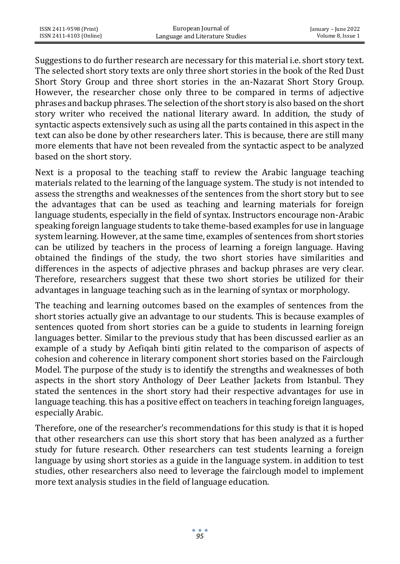Suggestions to do further research are necessary for this material i.e. short story text. The selected short story texts are only three short stories in the book of the Red Dust Short Story Group and three short stories in the an-Nazarat Short Story Group. However, the researcher chose only three to be compared in terms of adjective phrases and backup phrases. The selection of the short story is also based on the short story writer who received the national literary award. In addition, the study of syntactic aspects extensively such as using all the parts contained in this aspect in the text can also be done by other researchers later. This is because, there are still many more elements that have not been revealed from the syntactic aspect to be analyzed based on the short story.

Next is a proposal to the teaching staff to review the Arabic language teaching materials related to the learning of the language system. The study is not intended to assess the strengths and weaknesses of the sentences from the short story but to see the advantages that can be used as teaching and learning materials for foreign language students, especially in the field of syntax. Instructors encourage non-Arabic speaking foreign language students to take theme-based examples for use in language system learning. However, at the same time, examples of sentences from short stories can be utilized by teachers in the process of learning a foreign language. Having obtained the findings of the study, the two short stories have similarities and differences in the aspects of adjective phrases and backup phrases are very clear. Therefore, researchers suggest that these two short stories be utilized for their advantages in language teaching such as in the learning of syntax or morphology.

The teaching and learning outcomes based on the examples of sentences from the short stories actually give an advantage to our students. This is because examples of sentences quoted from short stories can be a guide to students in learning foreign languages better. Similar to the previous study that has been discussed earlier as an example of a study by Aefiqah binti gitin related to the comparison of aspects of cohesion and coherence in literary component short stories based on the Fairclough Model. The purpose of the study is to identify the strengths and weaknesses of both aspects in the short story Anthology of Deer Leather Jackets from Istanbul. They stated the sentences in the short story had their respective advantages for use in language teaching. this has a positive effect on teachers in teaching foreign languages, especially Arabic.

Therefore, one of the researcher's recommendations for this study is that it is hoped that other researchers can use this short story that has been analyzed as a further study for future research. Other researchers can test students learning a foreign language by using short stories as a guide in the language system. in addition to test studies, other researchers also need to leverage the fairclough model to implement more text analysis studies in the field of language education.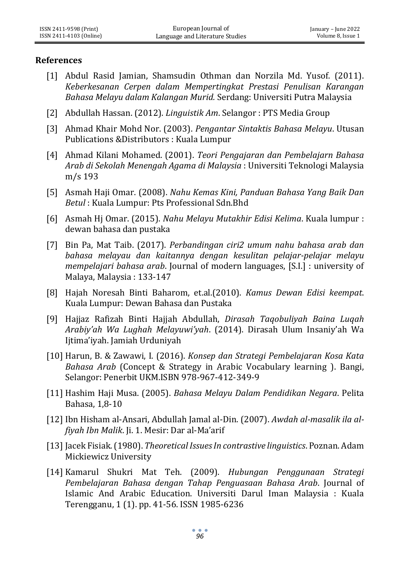#### **References**

- [1] Abdul Rasid Jamian, Shamsudin Othman dan Norzila Md. Yusof. (2011). *Keberkesanan Cerpen dalam Mempertingkat Prestasi Penulisan Karangan Bahasa Melayu dalam Kalangan Murid.* Serdang: Universiti Putra Malaysia
- [2] Abdullah Hassan. (2012). *Linguistik Am*. Selangor : PTS Media Group
- [3] Ahmad Khair Mohd Nor. (2003). *Pengantar Sintaktis Bahasa Melayu*. Utusan Publications &Distributors : Kuala Lumpur
- [4] Ahmad Kilani Mohamed. (2001). *Teori Pengajaran dan Pembelajarn Bahasa Arab di Sekolah Menengah Agama di Malaysia* : Universiti Teknologi Malaysia m/s 193
- [5] Asmah Haji Omar. (2008). *Nahu Kemas Kini, Panduan Bahasa Yang Baik Dan Betul* : Kuala Lumpur: Pts Professional Sdn.Bhd
- [6] Asmah Hj Omar. (2015). *Nahu Melayu Mutakhir Edisi Kelima*. Kuala lumpur : dewan bahasa dan pustaka
- [7] Bin Pa, Mat Taib. (2017). *Perbandingan ciri2 umum nahu bahasa arab dan bahasa melayau dan kaitannya dengan kesulitan pelajar-pelajar melayu mempelajari bahasa arab*. Journal of modern languages, [S.I.] : university of Malaya, Malaysia : 133-147
- [8] Hajah Noresah Binti Baharom, et.al.(2010). *Kamus Dewan Edisi keempat*. Kuala Lumpur: Dewan Bahasa dan Pustaka
- [9] Hajjaz Rafizah Binti Hajjah Abdullah, *Dirasah Taqobuliyah Baina Luqah Arabiy'ah Wa Lughah Melayuwi'yah*. (2014). Dirasah Ulum Insaniy'ah Wa Ijtima'iyah. Jamiah Urduniyah
- [10] Harun, B. & Zawawi, I. (2016). *Konsep dan Strategi Pembelajaran Kosa Kata Bahasa Arab* (Concept & Strategy in Arabic Vocabulary learning ). Bangi, Selangor: Penerbit UKM.ISBN 978-967-412-349-9
- [11] Hashim Haji Musa. (2005). *Bahasa Melayu Dalam Pendidikan Negara*. Pelita Bahasa, 1,8-10
- [12] Ibn Hisham al-Ansari, Abdullah Jamal al-Din. (2007). *Awdah al-masalik ila alfiyah Ibn Malik*. Ji. 1. Mesir: Dar al-Ma'arif
- [13] Jacek Fisiak. (1980). *Theoretical Issues In contrastive linguistics*. Poznan. Adam Mickiewicz University
- [14] Kamarul Shukri Mat Teh. (2009). *Hubungan Penggunaan Strategi Pembelajaran Bahasa dengan Tahap Penguasaan Bahasa Arab*. Journal of Islamic And Arabic Education. Universiti Darul Iman Malaysia : Kuala Terengganu, 1 (1). pp. 41-56. ISSN 1985-6236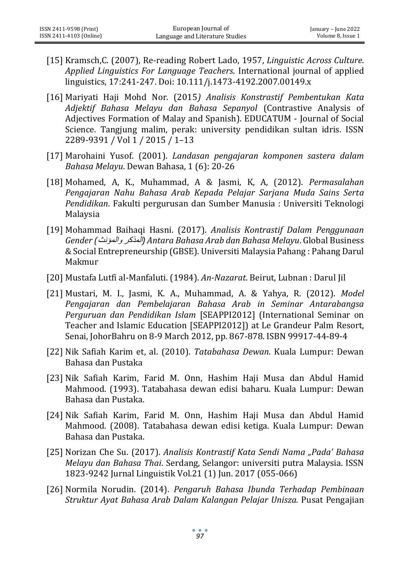- [15] Kramsch,C. (2007), Re-reading Robert Lado, 1957, *Linguistic Across Culture*. *Applied Linguistics For Language Teachers*. International journal of applied linguistics, 17:241-247. Doi: 10.111/j.1473-4192.2007.00149.x
- [16] Mariyati Haji Mohd Nor. (2015*) Analisis Konstrastif Pembentukan Kata Adjektif Bahasa Melayu dan Bahasa Sepanyol* (Contrastive Analysis of Adjectives Formation of Malay and Spanish). EDUCATUM - Journal of Social Science. Tangjung malim, perak: university pendidikan sultan idris. ISSN 2289-9391 / Vol 1 / 2015 / 1–13
- [17] Marohaini Yusof. (2001). *Landasan pengajaran komponen sastera dalam Bahasa Melayu*. Dewan Bahasa, 1 (6): 20-26
- [18] Mohamed, A, K., Muhammad, A & Jasmi, K, A, (2012). *Permasalahan Pengajaran Nahu Bahasa Arab Kepada Pelajar Sarjana Muda Sains Serta Pendidikan*. Fakulti pergurusan dan Sumber Manusia : Universiti Teknologi Malaysia
- [19] Mohammad Baihaqi Hasni. (2017). *Analisis Kontrastif Dalam Penggunaan Gender (*والمؤنث المذكر *(Antara Bahasa Arab dan Bahasa Melayu*. Global Business & Social Entrepreneurship (GBSE). Universiti Malaysia Pahang : Pahang Darul Makmur
- [20] Mustafa Lutfi al-Manfaluti. (1984). *An-Nazarat*. Beirut, Lubnan : Darul Jil
- [21] Mustari, M. I., Jasmi, K. A., Muhammad, A. & Yahya, R. (2012). *Model Pengajaran dan Pembelajaran Bahasa Arab in Seminar Antarabangsa Perguruan dan Pendidikan Islam* [SEAPPI2012] (International Seminar on Teacher and Islamic Education [SEAPPI2012]) at Le Grandeur Palm Resort, Senai, JohorBahru on 8-9 March 2012, pp. 867-878. ISBN 99917-44-89-4
- [22] Nik Safiah Karim et, al. (2010). *Tatabahasa Dewan*. Kuala Lumpur: Dewan Bahasa dan Pustaka
- [23] Nik Safiah Karim, Farid M. Onn, Hashim Haji Musa dan Abdul Hamid Mahmood. (1993). Tatabahasa dewan edisi baharu. Kuala Lumpur: Dewan Bahasa dan Pustaka.
- [24] Nik Safiah Karim, Farid M. Onn, Hashim Haji Musa dan Abdul Hamid Mahmood. (2008). Tatabahasa dewan edisi ketiga. Kuala Lumpur: Dewan Bahasa dan Pustaka.
- [25] Norizan Che Su. (2017). *Analisis Kontrastif Kata Sendi Nama "Pada' Bahasa Melayu dan Bahasa Thai*. Serdang, Selangor: universiti putra Malaysia. ISSN 1823-9242 Jurnal Linguistik Vol.21 (1) Jun. 2017 (055-066)
- [26] Normila Norudin. (2014). *Pengaruh Bahasa Ibunda Terhadap Pembinaan Struktur Ayat Bahasa Arab Dalam Kalangan Pelajar Unisza.* Pusat Pengajian